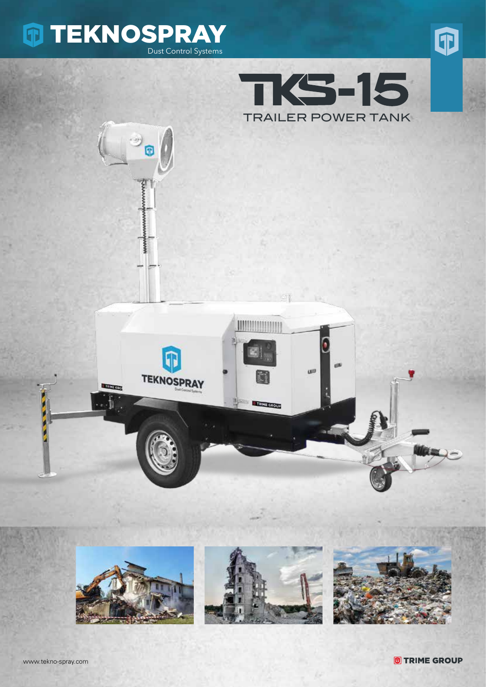

伊

**MANAMA**